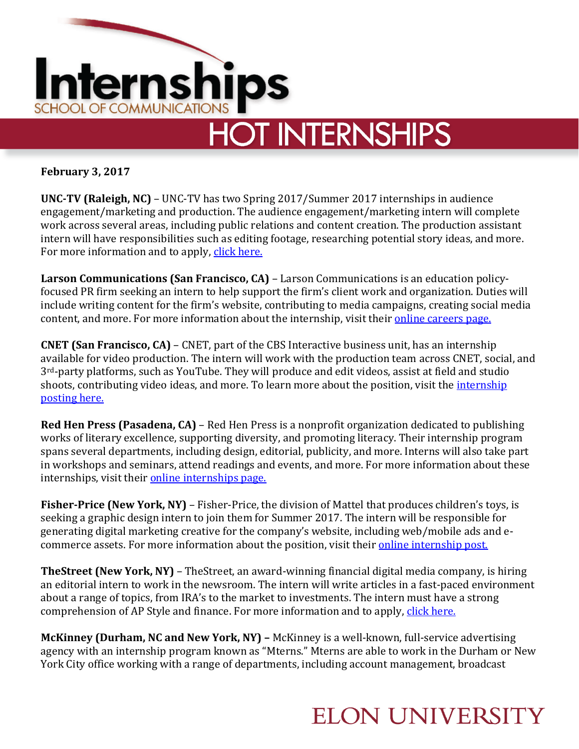

**February 3, 2017**

**UNC-TV (Raleigh, NC)** – UNC-TV has two Spring 2017/Summer 2017 internships in audience engagement/marketing and production. The audience engagement/marketing intern will complete work across several areas, including public relations and content creation. The production assistant intern will have responsibilities such as editing footage, researching potential story ideas, and more. For more information and to apply, [click here.](http://www.unctv.org/content/internships)

**Larson Communications (San Francisco, CA)** – Larson Communications is an education policyfocused PR firm seeking an intern to help support the firm's client work and organization. Duties will include writing content for the firm's website, contributing to media campaigns, creating social media content, and more. For more information about the internship, visit their [online careers page.](http://www.larsonpr.com/careers/)

**CNET (San Francisco, CA)** – CNET, part of the CBS Interactive business unit, has an internship available for video production. The intern will work with the production team across CNET, social, and 3rd-party platforms, such as YouTube. They will produce and edit videos, assist at field and studio shoots, contributing video ideas, and more. To learn more about the position, visit the [internship](http://cbscorporation.jobs/san-francisco-ca/summer-2017-video-production-intern-cnet/313BB8D7897845AEAD9CC12949DD2012/job/?utm_campaign=Indeed&vs=1554&utm_medium=Job%20Aggregator&utm_source=Indeed-DE)  [posting here.](http://cbscorporation.jobs/san-francisco-ca/summer-2017-video-production-intern-cnet/313BB8D7897845AEAD9CC12949DD2012/job/?utm_campaign=Indeed&vs=1554&utm_medium=Job%20Aggregator&utm_source=Indeed-DE)

**Red Hen Press (Pasadena, CA)** – Red Hen Press is a nonprofit organization dedicated to publishing works of literary excellence, supporting diversity, and promoting literacy. Their internship program spans several departments, including design, editorial, publicity, and more. Interns will also take part in workshops and seminars, attend readings and events, and more. For more information about these internships, visit their [online internships page.](http://redhen.org/contact-2/jobs-and-internships/)

**Fisher-Price (New York, NY)** – Fisher-Price, the division of Mattel that produces children's toys, is seeking a graphic design intern to join them for Summer 2017. The intern will be responsible for generating digital marketing creative for the company's website, including web/mobile ads and ecommerce assets. For more information about the position, visit their **online internship post.** 

**TheStreet (New York, NY)** – TheStreet, an award-winning financial digital media company, is hiring an editorial intern to work in the newsroom. The intern will write articles in a fast-paced environment about a range of topics, from IRA's to the market to investments. The intern must have a strong comprehension of AP Style and finance. For more information and to apply, [click here.](https://www.linkedin.com/jobs/view/238523945?trkInfo=searchKeywordString%3AEditorial%2BIntern%2CsearchLocationString%3A%252C%2B%2Cvertical%3Ajobs%2CpageNum%3A1%2Cposition%3A1%2CMSRPsearchId%3Aef325698-aceb-4923-86e0-bebb93bb43c5&refId=ef325698-aceb-4923-86e0-bebb93bb43c5&trk=jobs_jserp_job_listing_text)

**McKinney (Durham, NC and New York, NY) –** McKinney is a well-known, full-service advertising agency with an internship program known as "Mterns." Mterns are able to work in the Durham or New York City office working with a range of departments, including account management, broadcast

## **ELON UNIVERSITY**